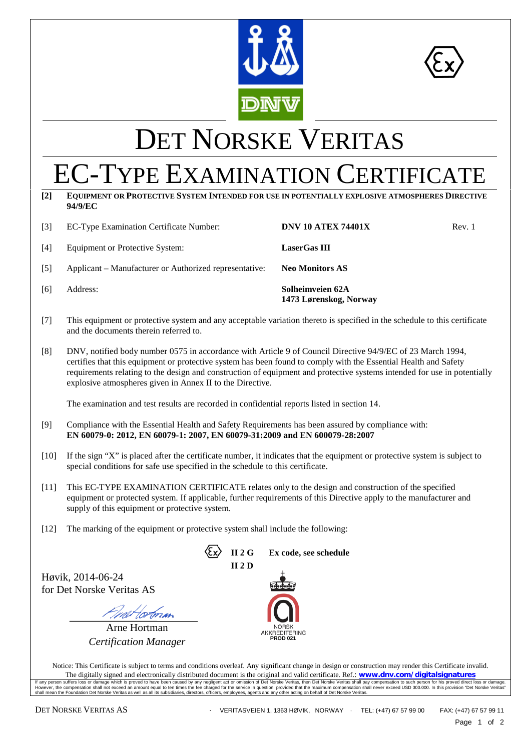

<span id="page-0-1"></span>

# <span id="page-0-0"></span>DET NORSKE VERITAS

## EC-TYPE EXAMINATION CERTIFICATE

**[2] EQUIPMENT OR PROTECTIVE SYSTEM INTENDED FOR USE IN POTENTIALLY EXPLOSIVE ATMOSPHERES DIRECTIVE 94/9/EC**

| $\lceil 3 \rceil$ | EC-Type Examination Certificate Number:                | <b>DNV 10 ATEX 74401X</b>                  | Rev. 1 |
|-------------------|--------------------------------------------------------|--------------------------------------------|--------|
| [4]               | Equipment or Protective System:                        | <b>LaserGas III</b>                        |        |
| [5]               | Applicant – Manufacturer or Authorized representative: | <b>Neo Monitors AS</b>                     |        |
| [6]               | Address:                                               | Solheimveien 62A<br>1473 Lørenskog, Norway |        |

- [7] This equipment or protective system and any acceptable variation thereto is specified in the schedule to this certificate and the documents therein referred to.
- [8] DNV, notified body number 0575 in accordance with Article 9 of Council Directive 94/9/EC of 23 March 1994, certifies that this equipment or protective system has been found to comply with the Essential Health and Safety requirements relating to the design and construction of equipment and protective systems intended for use in potentially explosive atmospheres given in Annex II to the Directive.

The examination and test results are recorded in confidential reports listed in section 14.

- [9] Compliance with the Essential Health and Safety Requirements has been assured by compliance with: **EN 60079-0: 2012, EN 60079-1: 2007, EN 60079-31:2009 and EN 600079-28:2007**
- [10] If the sign "X" is placed after the certificate number, it indicates that the equipment or protective system is subject to special conditions for safe use specified in the schedule to this certificate.
- [11] This EC-TYPE EXAMINATION CERTIFICATE relates only to the design and construction of the specified equipment or protected system. If applicable, further requirements of this Directive apply to the manufacturer and supply of this equipment or protective system.
- [12] The marking of the equipment or protective system shall include the following:

Høvik, 2014-06-24 for Det Norske Veritas AS

*And Hortman*<br>Arne Hortman

*Certification Manager* **PROD 021** 



Notice: This Certificate is subject to terms and conditions overleaf. Any significant change in design or construction may render this Certificate invalid. The digitally signed and electronically distributed document is the original and valid certificate. Ref.: **www.dnv.com/digitalsignatures** If any person suffers loss or damage which is proved to have been caused by any negligent act or omission of Det Norske Veritas, then Det Norske Veritas shall pay compensation to such person for his proved direct loss or d